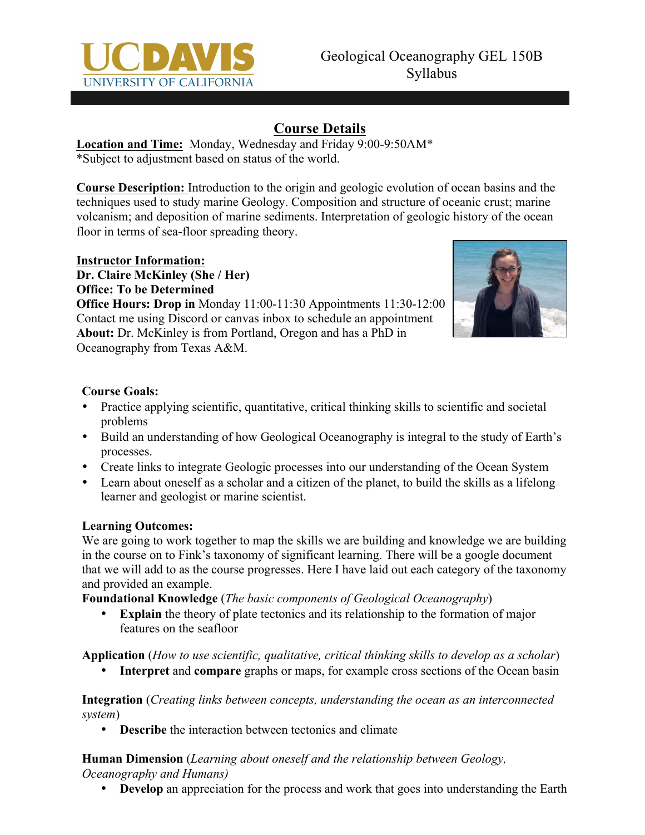

## **Course Details**

**Location and Time:** Monday, Wednesday and Friday 9:00-9:50AM\* \*Subject to adjustment based on status of the world.

**Course Description:** Introduction to the origin and geologic evolution of ocean basins and the techniques used to study marine Geology. Composition and structure of oceanic crust; marine volcanism; and deposition of marine sediments. Interpretation of geologic history of the ocean floor in terms of sea-floor spreading theory.

## **Instructor Information:**

**Dr. Claire McKinley (She / Her) Office: To be Determined**

**Office Hours: Drop in** Monday 11:00-11:30 Appointments 11:30-12:00 Contact me using Discord or canvas inbox to schedule an appointment **About:** Dr. McKinley is from Portland, Oregon and has a PhD in Oceanography from Texas A&M.



#### **Course Goals:**

- Practice applying scientific, quantitative, critical thinking skills to scientific and societal problems
- Build an understanding of how Geological Oceanography is integral to the study of Earth's processes.
- Create links to integrate Geologic processes into our understanding of the Ocean System
- Learn about oneself as a scholar and a citizen of the planet, to build the skills as a lifelong learner and geologist or marine scientist.

#### **Learning Outcomes:**

We are going to work together to map the skills we are building and knowledge we are building in the course on to Fink's taxonomy of significant learning. There will be a google document that we will add to as the course progresses. Here I have laid out each category of the taxonomy and provided an example.

**Foundational Knowledge** (*The basic components of Geological Oceanography*)

**Explain** the theory of plate tectonics and its relationship to the formation of major features on the seafloor

**Application** (*How to use scientific, qualitative, critical thinking skills to develop as a scholar*)

**Interpret** and **compare** graphs or maps, for example cross sections of the Ocean basin

**Integration** (*Creating links between concepts, understanding the ocean as an interconnected system*)

• **Describe** the interaction between tectonics and climate

**Human Dimension** (*Learning about oneself and the relationship between Geology, Oceanography and Humans)*

• **Develop** an appreciation for the process and work that goes into understanding the Earth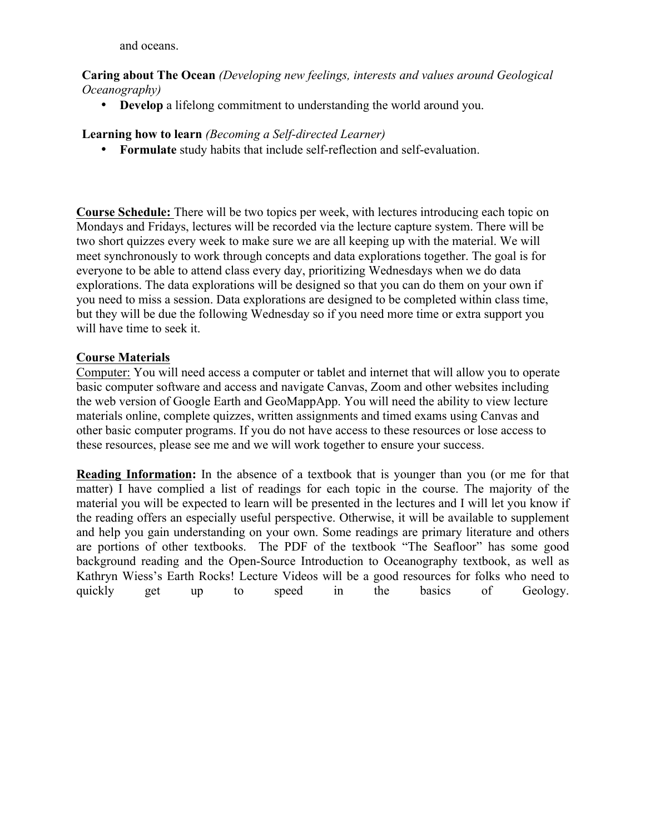and oceans.

**Caring about The Ocean** *(Developing new feelings, interests and values around Geological Oceanography)*

• **Develop** a lifelong commitment to understanding the world around you.

**Learning how to learn** *(Becoming a Self-directed Learner)*

• **Formulate** study habits that include self-reflection and self-evaluation.

**Course Schedule:** There will be two topics per week, with lectures introducing each topic on Mondays and Fridays, lectures will be recorded via the lecture capture system. There will be two short quizzes every week to make sure we are all keeping up with the material. We will meet synchronously to work through concepts and data explorations together. The goal is for everyone to be able to attend class every day, prioritizing Wednesdays when we do data explorations. The data explorations will be designed so that you can do them on your own if you need to miss a session. Data explorations are designed to be completed within class time, but they will be due the following Wednesday so if you need more time or extra support you will have time to seek it.

#### **Course Materials**

Computer: You will need access a computer or tablet and internet that will allow you to operate basic computer software and access and navigate Canvas, Zoom and other websites including the web version of Google Earth and GeoMappApp. You will need the ability to view lecture materials online, complete quizzes, written assignments and timed exams using Canvas and other basic computer programs. If you do not have access to these resources or lose access to these resources, please see me and we will work together to ensure your success.

**Reading Information:** In the absence of a textbook that is younger than you (or me for that matter) I have complied a list of readings for each topic in the course. The majority of the material you will be expected to learn will be presented in the lectures and I will let you know if the reading offers an especially useful perspective. Otherwise, it will be available to supplement and help you gain understanding on your own. Some readings are primary literature and others are portions of other textbooks. The PDF of the textbook "The Seafloor" has some good background reading and the Open-Source Introduction to Oceanography textbook, as well as Kathryn Wiess's Earth Rocks! Lecture Videos will be a good resources for folks who need to quickly get up to speed in the basics of Geology.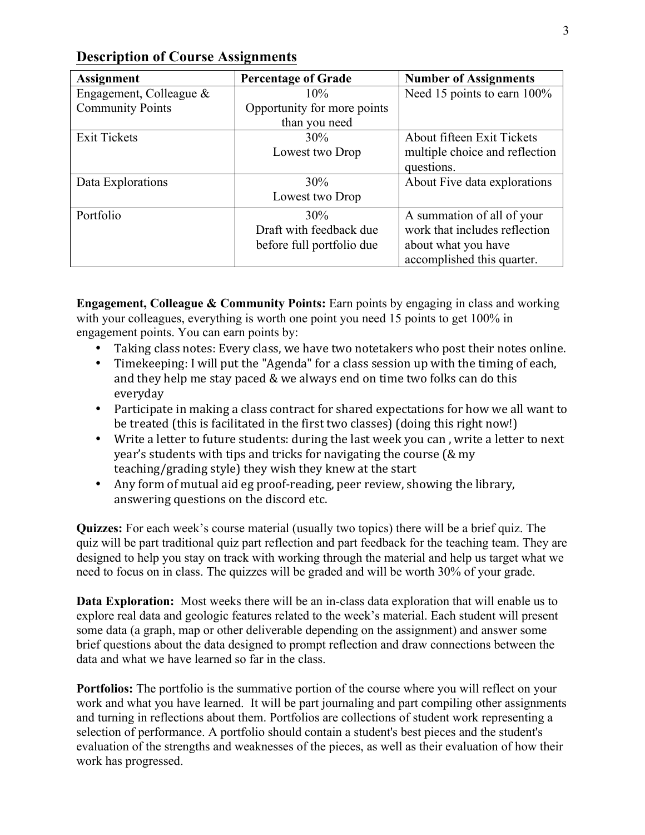| <b>Assignment</b>          | <b>Percentage of Grade</b>  | <b>Number of Assignments</b>   |
|----------------------------|-----------------------------|--------------------------------|
| Engagement, Colleague $\&$ | 10%                         | Need 15 points to earn 100%    |
| <b>Community Points</b>    | Opportunity for more points |                                |
|                            | than you need               |                                |
| <b>Exit Tickets</b>        | 30%                         | About fifteen Exit Tickets     |
|                            | Lowest two Drop             | multiple choice and reflection |
|                            |                             | questions.                     |
| Data Explorations          | 30%                         | About Five data explorations   |
|                            | Lowest two Drop             |                                |
| Portfolio                  | 30%                         | A summation of all of your     |
|                            | Draft with feedback due     | work that includes reflection  |
|                            | before full portfolio due   | about what you have            |
|                            |                             | accomplished this quarter.     |

## **Description of Course Assignments**

**Engagement, Colleague & Community Points:** Earn points by engaging in class and working with your colleagues, everything is worth one point you need 15 points to get 100% in engagement points. You can earn points by:

- Taking class notes: Every class, we have two notetakers who post their notes online.
- Timekeeping: I will put the "Agenda" for a class session up with the timing of each, and they help me stay paced  $&$  we always end on time two folks can do this everyday
- Participate in making a class contract for shared expectations for how we all want to be treated (this is facilitated in the first two classes) (doing this right now!)
- Write a letter to future students: during the last week you can, write a letter to next year's students with tips and tricks for navigating the course  $(\&$  my teaching/grading style) they wish they knew at the start
- Any form of mutual aid eg proof-reading, peer review, showing the library, answering questions on the discord etc.

**Quizzes:** For each week's course material (usually two topics) there will be a brief quiz. The quiz will be part traditional quiz part reflection and part feedback for the teaching team. They are designed to help you stay on track with working through the material and help us target what we need to focus on in class. The quizzes will be graded and will be worth 30% of your grade.

**Data Exploration:** Most weeks there will be an in-class data exploration that will enable us to explore real data and geologic features related to the week's material. Each student will present some data (a graph, map or other deliverable depending on the assignment) and answer some brief questions about the data designed to prompt reflection and draw connections between the data and what we have learned so far in the class.

**Portfolios:** The portfolio is the summative portion of the course where you will reflect on your work and what you have learned. It will be part journaling and part compiling other assignments and turning in reflections about them. Portfolios are collections of student work representing a selection of performance. A portfolio should contain a student's best pieces and the student's evaluation of the strengths and weaknesses of the pieces, as well as their evaluation of how their work has progressed.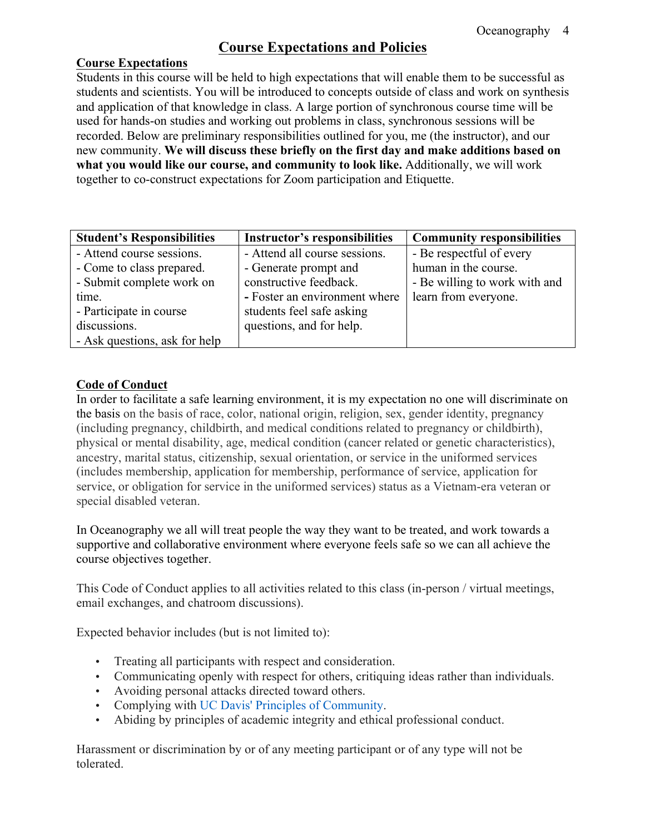## **Course Expectations and Policies**

#### **Course Expectations**

Students in this course will be held to high expectations that will enable them to be successful as students and scientists. You will be introduced to concepts outside of class and work on synthesis and application of that knowledge in class. A large portion of synchronous course time will be used for hands-on studies and working out problems in class, synchronous sessions will be recorded. Below are preliminary responsibilities outlined for you, me (the instructor), and our new community. **We will discuss these briefly on the first day and make additions based on what you would like our course, and community to look like.** Additionally, we will work together to co-construct expectations for Zoom participation and Etiquette.

| <b>Student's Responsibilities</b> | <b>Instructor's responsibilities</b> | <b>Community responsibilities</b> |
|-----------------------------------|--------------------------------------|-----------------------------------|
| - Attend course sessions.         | - Attend all course sessions.        | - Be respectful of every          |
| - Come to class prepared.         | - Generate prompt and                | human in the course.              |
| - Submit complete work on         | constructive feedback.               | - Be willing to work with and     |
| time.                             | - Foster an environment where        | learn from everyone.              |
| - Participate in course           | students feel safe asking            |                                   |
| discussions.                      | questions, and for help.             |                                   |
| - Ask questions, ask for help     |                                      |                                   |

#### **Code of Conduct**

In order to facilitate a safe learning environment, it is my expectation no one will discriminate on the basis on the basis of race, color, national origin, religion, sex, gender identity, pregnancy (including pregnancy, childbirth, and medical conditions related to pregnancy or childbirth), physical or mental disability, age, medical condition (cancer related or genetic characteristics), ancestry, marital status, citizenship, sexual orientation, or service in the uniformed services (includes membership, application for membership, performance of service, application for service, or obligation for service in the uniformed services) status as a Vietnam-era veteran or special disabled veteran.

In Oceanography we all will treat people the way they want to be treated, and work towards a supportive and collaborative environment where everyone feels safe so we can all achieve the course objectives together.

This Code of Conduct applies to all activities related to this class (in-person / virtual meetings, email exchanges, and chatroom discussions).

Expected behavior includes (but is not limited to):

- Treating all participants with respect and consideration.
- Communicating openly with respect for others, critiquing ideas rather than individuals.
- Avoiding personal attacks directed toward others.
- Complying with UC Davis' Principles of Community.
- Abiding by principles of academic integrity and ethical professional conduct.

Harassment or discrimination by or of any meeting participant or of any type will not be tolerated.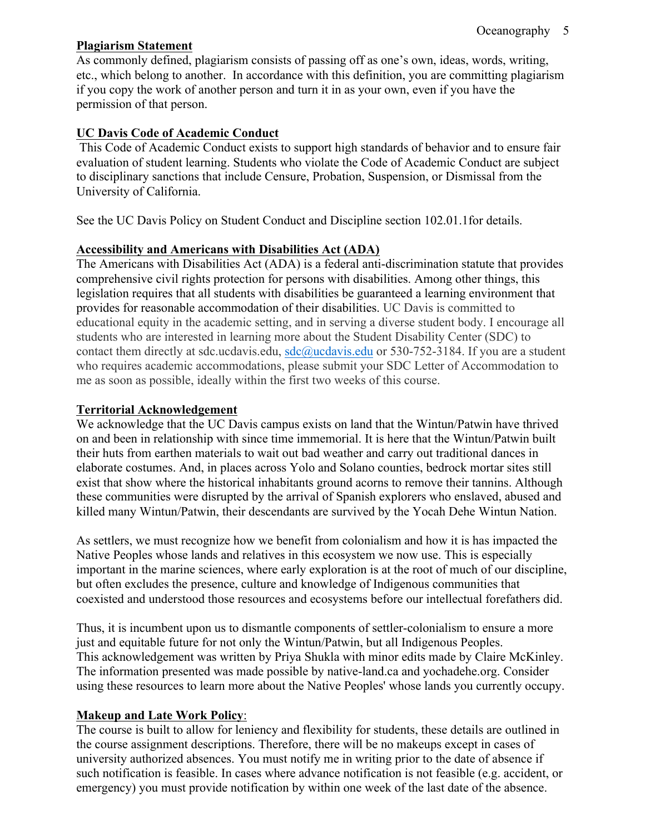#### **Plagiarism Statement**

As commonly defined, plagiarism consists of passing off as one's own, ideas, words, writing, etc., which belong to another. In accordance with this definition, you are committing plagiarism if you copy the work of another person and turn it in as your own, even if you have the permission of that person.

#### **UC Davis Code of Academic Conduct**

This Code of Academic Conduct exists to support high standards of behavior and to ensure fair evaluation of student learning. Students who violate the Code of Academic Conduct are subject to disciplinary sanctions that include Censure, Probation, Suspension, or Dismissal from the University of California.

See the UC Davis Policy on Student Conduct and Discipline section 102.01.1for details.

#### **Accessibility and Americans with Disabilities Act (ADA)**

The Americans with Disabilities Act (ADA) is a federal anti-discrimination statute that provides comprehensive civil rights protection for persons with disabilities. Among other things, this legislation requires that all students with disabilities be guaranteed a learning environment that provides for reasonable accommodation of their disabilities. UC Davis is committed to educational equity in the academic setting, and in serving a diverse student body. I encourage all students who are interested in learning more about the Student Disability Center (SDC) to contact them directly at sdc.ucdavis.edu,  $sdc@ucdavis.edu$  or 530-752-3184. If you are a student who requires academic accommodations, please submit your SDC Letter of Accommodation to me as soon as possible, ideally within the first two weeks of this course.

#### **Territorial Acknowledgement**

We acknowledge that the UC Davis campus exists on land that the Wintun/Patwin have thrived on and been in relationship with since time immemorial. It is here that the Wintun/Patwin built their huts from earthen materials to wait out bad weather and carry out traditional dances in elaborate costumes. And, in places across Yolo and Solano counties, bedrock mortar sites still exist that show where the historical inhabitants ground acorns to remove their tannins. Although these communities were disrupted by the arrival of Spanish explorers who enslaved, abused and killed many Wintun/Patwin, their descendants are survived by the Yocah Dehe Wintun Nation.

As settlers, we must recognize how we benefit from colonialism and how it is has impacted the Native Peoples whose lands and relatives in this ecosystem we now use. This is especially important in the marine sciences, where early exploration is at the root of much of our discipline, but often excludes the presence, culture and knowledge of Indigenous communities that coexisted and understood those resources and ecosystems before our intellectual forefathers did.

Thus, it is incumbent upon us to dismantle components of settler-colonialism to ensure a more just and equitable future for not only the Wintun/Patwin, but all Indigenous Peoples. This acknowledgement was written by Priya Shukla with minor edits made by Claire McKinley. The information presented was made possible by native-land.ca and yochadehe.org. Consider using these resources to learn more about the Native Peoples' whose lands you currently occupy.

#### **Makeup and Late Work Policy**:

The course is built to allow for leniency and flexibility for students, these details are outlined in the course assignment descriptions. Therefore, there will be no makeups except in cases of university authorized absences. You must notify me in writing prior to the date of absence if such notification is feasible. In cases where advance notification is not feasible (e.g. accident, or emergency) you must provide notification by within one week of the last date of the absence.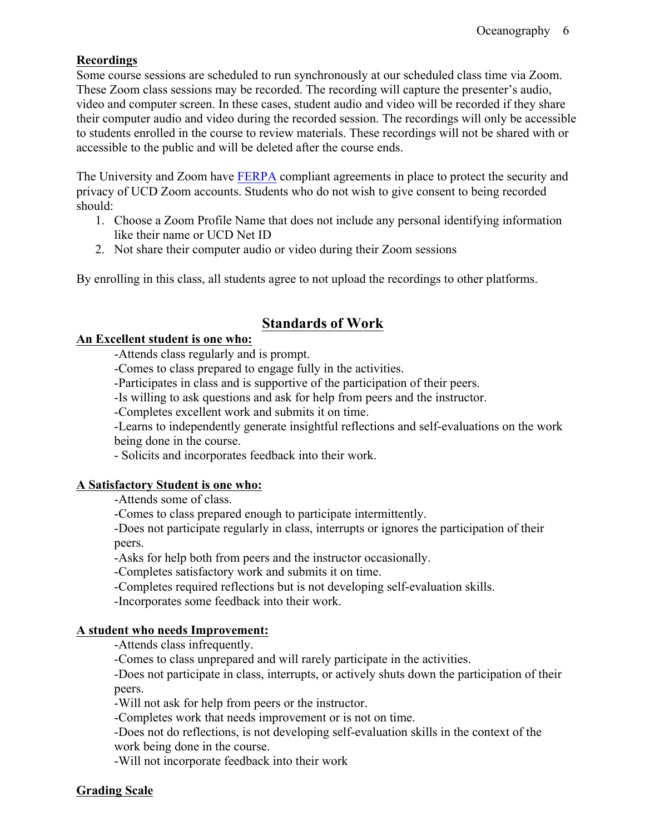#### **Recordings**

Some course sessions are scheduled to run synchronously at our scheduled class time via Zoom. These Zoom class sessions may be recorded. The recording will capture the presenter's audio, video and computer screen. In these cases, student audio and video will be recorded if they share their computer audio and video during the recorded session. The recordings will only be accessible to students enrolled in the course to review materials. These recordings will not be shared with or accessible to the public and will be deleted after the course ends.

The University and Zoom have FERPA compliant agreements in place to protect the security and privacy of UCD Zoom accounts. Students who do not wish to give consent to being recorded should:

- 1. Choose a Zoom Profile Name that does not include any personal identifying information like their name or UCD Net ID
- 2. Not share their computer audio or video during their Zoom sessions

By enrolling in this class, all students agree to not upload the recordings to other platforms.

## **Standards of Work**

#### **An Excellent student is one who:**

-Attends class regularly and is prompt.

-Comes to class prepared to engage fully in the activities.

-Participates in class and is supportive of the participation of their peers.

-Is willing to ask questions and ask for help from peers and the instructor.

-Completes excellent work and submits it on time.

-Learns to independently generate insightful reflections and self-evaluations on the work being done in the course.

- Solicits and incorporates feedback into their work.

#### **A Satisfactory Student is one who:**

-Attends some of class.

-Comes to class prepared enough to participate intermittently.

-Does not participate regularly in class, interrupts or ignores the participation of their peers.

-Asks for help both from peers and the instructor occasionally.

-Completes satisfactory work and submits it on time.

-Completes required reflections but is not developing self-evaluation skills.

-Incorporates some feedback into their work.

#### **A student who needs Improvement:**

-Attends class infrequently.

-Comes to class unprepared and will rarely participate in the activities.

-Does not participate in class, interrupts, or actively shuts down the participation of their peers.

-Will not ask for help from peers or the instructor.

-Completes work that needs improvement or is not on time.

-Does not do reflections, is not developing self-evaluation skills in the context of the work being done in the course.

-Will not incorporate feedback into their work

#### **Grading Scale**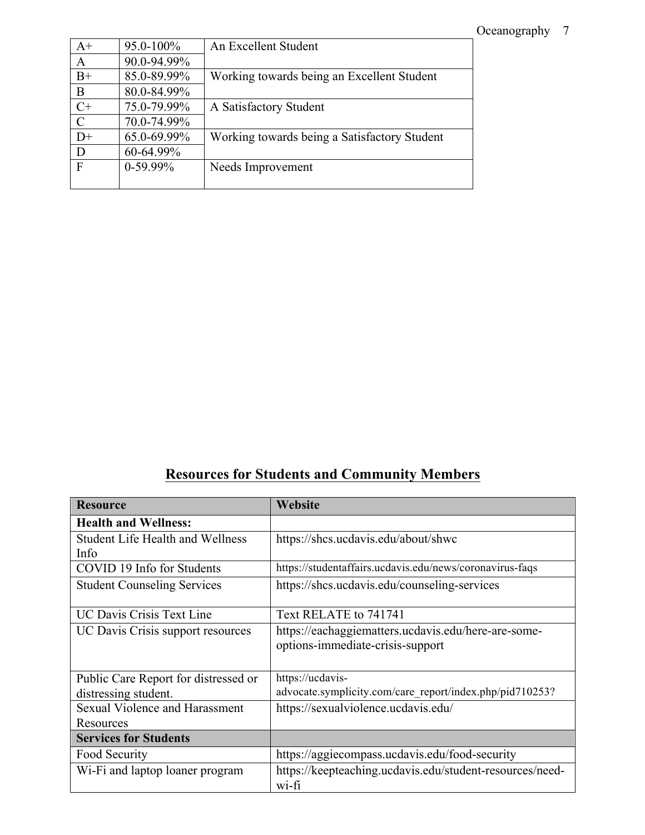## Oceanography 7

| $A+$             | 95.0-100%   | An Excellent Student                         |
|------------------|-------------|----------------------------------------------|
| $\boldsymbol{A}$ | 90.0-94.99% |                                              |
| $B+$             | 85.0-89.99% | Working towards being an Excellent Student   |
| B                | 80.0-84.99% |                                              |
| $C+$             | 75.0-79.99% | A Satisfactory Student                       |
| $\overline{C}$   | 70.0-74.99% |                                              |
| $D+$             | 65.0-69.99% | Working towards being a Satisfactory Student |
| D                | 60-64.99%   |                                              |
| $\mathbf{F}$     | $0-59.99\%$ | Needs Improvement                            |
|                  |             |                                              |

# **Resources for Students and Community Members**

| <b>Resource</b>                         | Website                                                  |
|-----------------------------------------|----------------------------------------------------------|
| <b>Health and Wellness:</b>             |                                                          |
| <b>Student Life Health and Wellness</b> | https://shcs.ucdavis.edu/about/shwc                      |
| Info                                    |                                                          |
| COVID 19 Info for Students              | https://studentaffairs.ucdavis.edu/news/coronavirus-faqs |
| <b>Student Counseling Services</b>      | https://shcs.ucdavis.edu/counseling-services             |
|                                         |                                                          |
| <b>UC Davis Crisis Text Line</b>        | Text RELATE to 741741                                    |
| UC Davis Crisis support resources       | https://eachaggiematters.ucdavis.edu/here-are-some-      |
|                                         | options-immediate-crisis-support                         |
|                                         |                                                          |
| Public Care Report for distressed or    | https://ucdavis-                                         |
| distressing student.                    | advocate.symplicity.com/care_report/index.php/pid710253? |
| <b>Sexual Violence and Harassment</b>   | https://sexualviolence.ucdavis.edu/                      |
| Resources                               |                                                          |
| <b>Services for Students</b>            |                                                          |
| Food Security                           | https://aggiecompass.ucdavis.edu/food-security           |
| Wi-Fi and laptop loaner program         | https://keepteaching.ucdavis.edu/student-resources/need- |
|                                         | wi-fi                                                    |